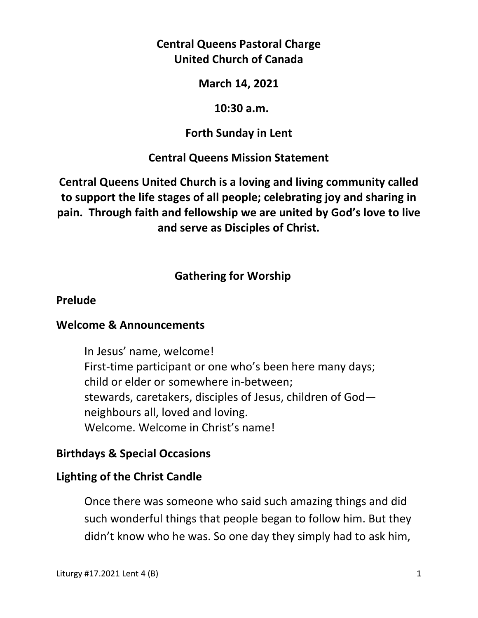# **Central Queens Pastoral Charge United Church of Canada**

### **March 14, 2021**

#### **10:30 a.m.**

### **Forth Sunday in Lent**

# **Central Queens Mission Statement**

**Central Queens United Church is a loving and living community called to support the life stages of all people; celebrating joy and sharing in pain. Through faith and fellowship we are united by God's love to live and serve as Disciples of Christ.**

# **Gathering for Worship**

#### **Prelude**

### **Welcome & Announcements**

In Jesus' name, welcome! First-time participant or one who's been here many days; child or elder or somewhere in-between; stewards, caretakers, disciples of Jesus, children of God neighbours all, loved and loving. Welcome. Welcome in Christ's name!

### **Birthdays & Special Occasions**

### **Lighting of the Christ Candle**

Once there was someone who said such amazing things and did such wonderful things that people began to follow him. But they didn't know who he was. So one day they simply had to ask him,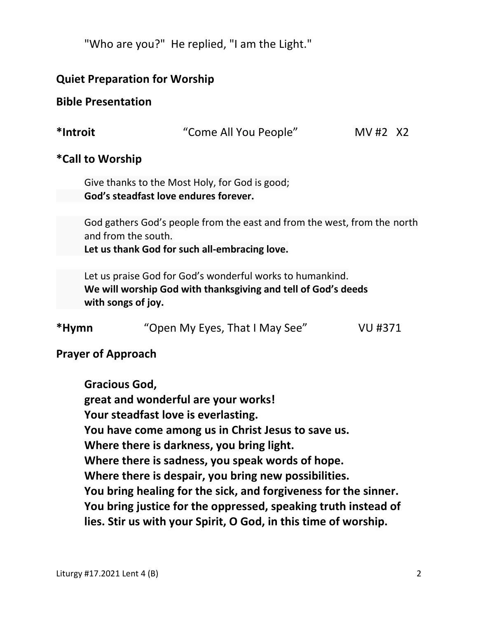"Who are you?" He replied, "I am the Light."

### **Quiet Preparation for Worship**

#### **Bible Presentation**

**\*Introit** "Come All You People" MV #2X2

### **\*Call to Worship**

Give thanks to the Most Holy, for God is good;  **God's steadfast love endures forever.** 

 God gathers God's people from the east and from the west, from the north and from the south.

 **Let us thank God for such all-embracing love.** 

 Let us praise God for God's wonderful works to humankind.  **We will worship God with thanksgiving and tell of God's deeds with songs of joy.** 

| *Hymn | "Open My Eyes, That I May See" | VU #371 |
|-------|--------------------------------|---------|
|       |                                |         |

# **Prayer of Approach**

 **Gracious God, great and wonderful are your works! Your steadfast love is everlasting. You have come among us in Christ Jesus to save us. Where there is darkness, you bring light. Where there is sadness, you speak words of hope. Where there is despair, you bring new possibilities. You bring healing for the sick, and forgiveness for the sinner. You bring justice for the oppressed, speaking truth instead of lies. Stir us with your Spirit, O God, in this time of worship.**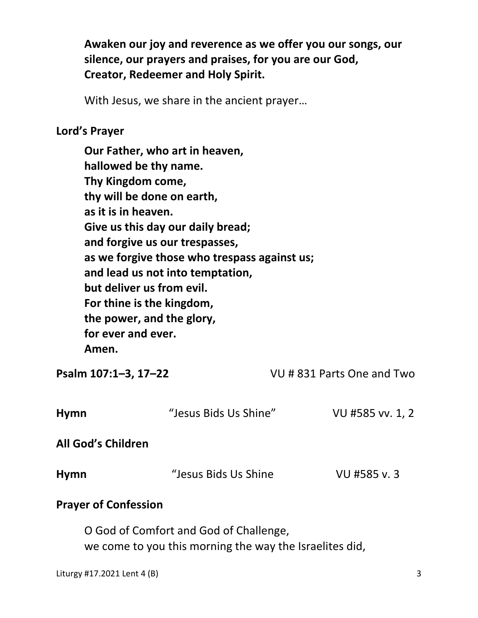**Awaken our joy and reverence as we offer you our songs, our silence, our prayers and praises, for you are our God, Creator, Redeemer and Holy Spirit.** 

With Jesus, we share in the ancient prayer…

### **Lord's Prayer**

**Our Father, who art in heaven, hallowed be thy name. Thy Kingdom come, thy will be done on earth, as it is in heaven. Give us this day our daily bread; and forgive us our trespasses, as we forgive those who trespass against us; and lead us not into temptation, but deliver us from evil. For thine is the kingdom, the power, and the glory, for ever and ever. Amen.** 

**Psalm 107:1–3, 17–22** VU # 831 Parts One and Two

| <b>Hymn</b>                 | "Jesus Bids Us Shine" | VU #585 vv. 1, 2 |  |  |
|-----------------------------|-----------------------|------------------|--|--|
| <b>All God's Children</b>   |                       |                  |  |  |
| <b>Hymn</b>                 | "Jesus Bids Us Shine  | VU #585 v.3      |  |  |
| <b>Prayer of Confession</b> |                       |                  |  |  |

 O God of Comfort and God of Challenge, we come to you this morning the way the Israelites did,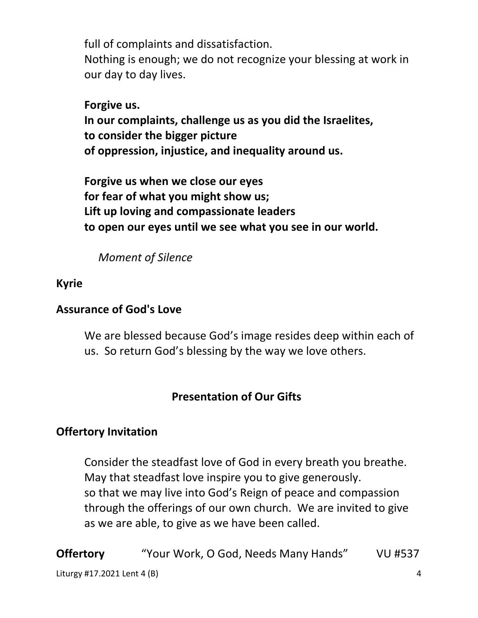full of complaints and dissatisfaction.

 Nothing is enough; we do not recognize your blessing at work in our day to day lives.

# **Forgive us.**

 **In our complaints, challenge us as you did the Israelites, to consider the bigger picture of oppression, injustice, and inequality around us.** 

 **Forgive us when we close our eyes for fear of what you might show us; Lift up loving and compassionate leaders to open our eyes until we see what you see in our world.**

 *Moment of Silence* 

# **Kyrie**

# **Assurance of God's Love**

We are blessed because God's image resides deep within each of us. So return God's blessing by the way we love others.

# **Presentation of Our Gifts**

# **Offertory Invitation**

 Consider the steadfast love of God in every breath you breathe. May that steadfast love inspire you to give generously. so that we may live into God's Reign of peace and compassion through the offerings of our own church. We are invited to give as we are able, to give as we have been called.

Liturgy #17.2021 Lent 4 (B) 4 **Offertory** "Your Work, O God, Needs Many Hands" VU #537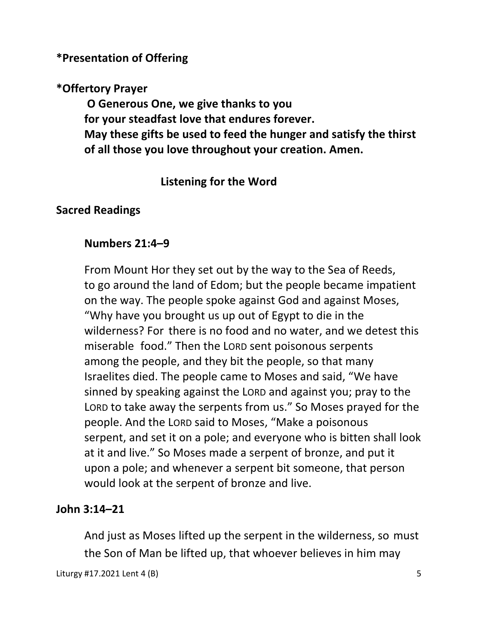# **\*Presentation of Offering**

# **\*Offertory Prayer**

 **O Generous One, we give thanks to you for your steadfast love that endures forever. May these gifts be used to feed the hunger and satisfy the thirst of all those you love throughout your creation. Amen.** 

# **Listening for the Word**

# **Sacred Readings**

# **Numbers 21:4–9**

 From Mount Hor they set out by the way to the Sea of Reeds, to go around the land of Edom; but the people became impatient on the way. The people spoke against God and against Moses, "Why have you brought us up out of Egypt to die in the wilderness? For there is no food and no water, and we detest this miserable food." Then the LORD sent poisonous serpents among the people, and they bit the people, so that many Israelites died. The people came to Moses and said, "We have sinned by speaking against the LORD and against you; pray to the LORD to take away the serpents from us." So Moses prayed for the people. And the LORD said to Moses, "Make a poisonous serpent, and set it on a pole; and everyone who is bitten shall look at it and live." So Moses made a serpent of bronze, and put it upon a pole; and whenever a serpent bit someone, that person would look at the serpent of bronze and live.

# **John 3:14–21**

And just as Moses lifted up the serpent in the wilderness, so must the Son of Man be lifted up, that whoever believes in him may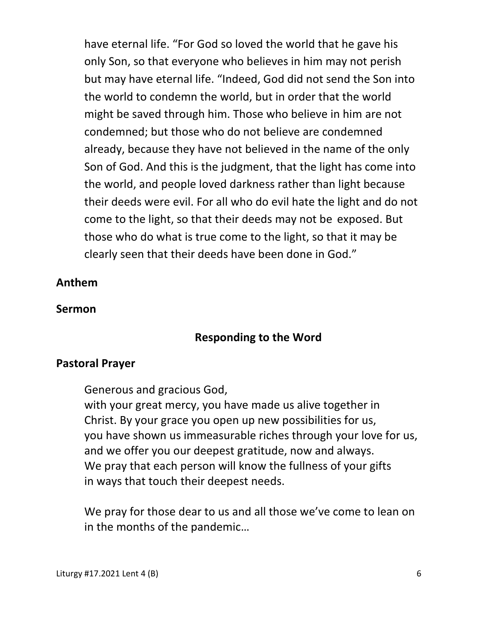have eternal life. "For God so loved the world that he gave his only Son, so that everyone who believes in him may not perish but may have eternal life. "Indeed, God did not send the Son into the world to condemn the world, but in order that the world might be saved through him. Those who believe in him are not condemned; but those who do not believe are condemned already, because they have not believed in the name of the only Son of God. And this is the judgment, that the light has come into the world, and people loved darkness rather than light because their deeds were evil. For all who do evil hate the light and do not come to the light, so that their deeds may not be exposed. But those who do what is true come to the light, so that it may be clearly seen that their deeds have been done in God."

### **Anthem**

#### **Sermon**

# **Responding to the Word**

### **Pastoral Prayer**

Generous and gracious God,

 with your great mercy, you have made us alive together in Christ. By your grace you open up new possibilities for us, you have shown us immeasurable riches through your love for us, and we offer you our deepest gratitude, now and always. We pray that each person will know the fullness of your gifts in ways that touch their deepest needs.

 We pray for those dear to us and all those we've come to lean on in the months of the pandemic…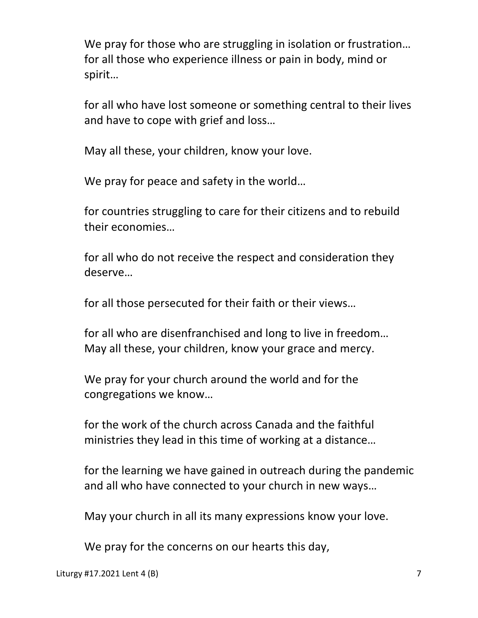We pray for those who are struggling in isolation or frustration... for all those who experience illness or pain in body, mind or spirit…

 for all who have lost someone or something central to their lives and have to cope with grief and loss…

May all these, your children, know your love.

We pray for peace and safety in the world…

 for countries struggling to care for their citizens and to rebuild their economies…

 for all who do not receive the respect and consideration they deserve…

for all those persecuted for their faith or their views…

 for all who are disenfranchised and long to live in freedom… May all these, your children, know your grace and mercy.

 We pray for your church around the world and for the congregations we know…

 for the work of the church across Canada and the faithful ministries they lead in this time of working at a distance…

 for the learning we have gained in outreach during the pandemic and all who have connected to your church in new ways…

May your church in all its many expressions know your love.

We pray for the concerns on our hearts this day,